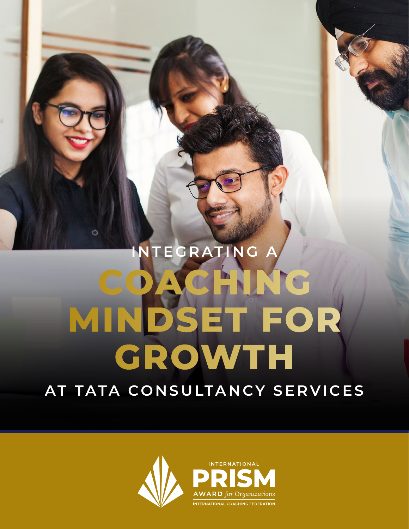# **INTEGRATING A COACHING MINDSET FOR GROWTH AT TATA CONSULTANCY SERVICES**

Ó

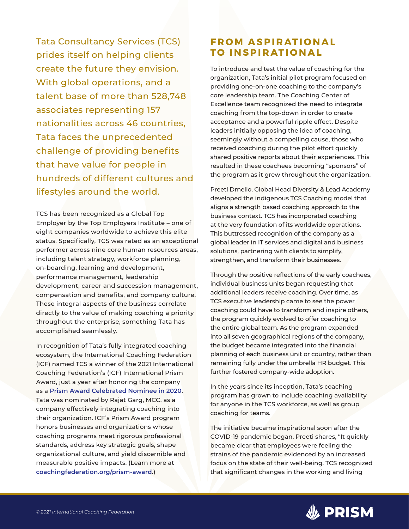Tata Consultancy Services (TCS) prides itself on helping clients create the future they envision. With global operations, and a talent base of more than 528,748 associates representing 157 nationalities across 46 countries, Tata faces the unprecedented challenge of providing benefits that have value for people in hundreds of different cultures and lifestyles around the world.

TCS has been recognized as a Global Top Employer by the Top Employers Institute – one of eight companies worldwide to achieve this elite status. Specifically, TCS was rated as an exceptional performer across nine core human resources areas, including talent strategy, workforce planning, on-boarding, learning and development, performance management, leadership development, career and succession management, compensation and benefits, and company culture. These integral aspects of the business correlate directly to the value of making coaching a priority throughout the enterprise, something Tata has accomplished seamlessly.

In recognition of Tata's fully integrated coaching ecosystem, the International Coaching Federation (ICF) named TCS a winner of the 2021 International Coaching Federation's (ICF) International Prism Award, just a year after honoring the company as a **[Prism Award Celebrated Nominee in 2020](https://coachingfederation.org/app/uploads/2021/06/2020-Prism-Case-Study_Tata.pdf)**. Tata was nominated by Rajat Garg, MCC, as a company effectively integrating coaching into their organization. ICF's Prism Award program honors businesses and organizations whose coaching programs meet rigorous professional standards, address key strategic goals, shape organizational culture, and yield discernible and measurable positive impacts. (Learn more at **[coachingfederation.org/prism-award](http://coachingfederation.org/prism-award)**.)

## **FROM ASPIRATIONAL TO INSPIRATIONAL**

To introduce and test the value of coaching for the organization, Tata's initial pilot program focused on providing one-on-one coaching to the company's core leadership team. The Coaching Center of Excellence team recognized the need to integrate coaching from the top-down in order to create acceptance and a powerful ripple effect. Despite leaders initially opposing the idea of coaching, seemingly without a compelling cause, those who received coaching during the pilot effort quickly shared positive reports about their experiences. This resulted in these coachees becoming "sponsors" of the program as it grew throughout the organization.

Preeti Dmello, Global Head Diversity & Lead Academy developed the indigenous TCS Coaching model that aligns a strength based coaching approach to the business context. TCS has incorporated coaching at the very foundation of its worldwide operations. This buttressed recognition of the company as a global leader in IT services and digital and business solutions, partnering with clients to simplify, strengthen, and transform their businesses.

Through the positive reflections of the early coachees, individual business units began requesting that additional leaders receive coaching. Over time, as TCS executive leadership came to see the power coaching could have to transform and inspire others, the program quickly evolved to offer coaching to the entire global team. As the program expanded into all seven geographical regions of the company, the budget became integrated into the financial planning of each business unit or country, rather than remaining fully under the umbrella HR budget. This further fostered company-wide adoption.

In the years since its inception, Tata's coaching program has grown to include coaching availability for anyone in the TCS workforce, as well as group coaching for teams.

The initiative became inspirational soon after the COVID-19 pandemic began. Preeti shares, "It quickly became clear that employees were feeling the strains of the pandemic evidenced by an increased focus on the state of their well-being. TCS recognized that significant changes in the working and living

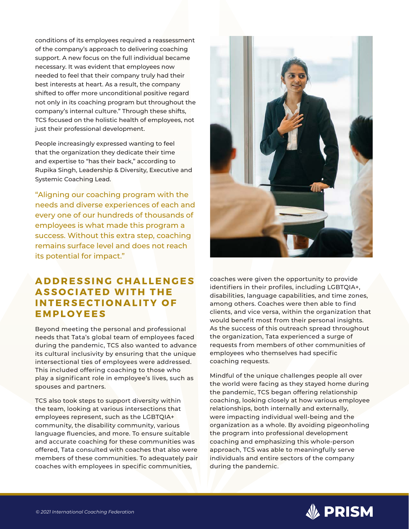conditions of its employees required a reassessment of the company's approach to delivering coaching support. A new focus on the full individual became necessary. It was evident that employees now needed to feel that their company truly had their best interests at heart. As a result, the company shifted to offer more unconditional positive regard not only in its coaching program but throughout the company's internal culture." Through these shifts, TCS focused on the holistic health of employees, not just their professional development.

People increasingly expressed wanting to feel that the organization they dedicate their time and expertise to "has their back," according to Rupika Singh, Leadership & Diversity, Executive and Systemic Coaching Lead.

"Aligning our coaching program with the needs and diverse experiences of each and every one of our hundreds of thousands of employees is what made this program a success. Without this extra step, coaching remains surface level and does not reach its potential for impact."

#### **A D D R E S S I N G C H A L L E N G E S ASSOCIATED WITH THE I N T E R S E C T I O N A L I T Y O F EMPLOYEES**

Beyond meeting the personal and professional needs that Tata's global team of employees faced during the pandemic, TCS also wanted to advance its cultural inclusivity by ensuring that the unique intersectional ties of employees were addressed. This included offering coaching to those who play a significant role in employee's lives, such as spouses and partners.

TCS also took steps to support diversity within the team, looking at various intersections that employees represent, such as the LGBTQIA+ community, the disability community, various language fluencies, and more. To ensure suitable and accurate coaching for these communities was offered, Tata consulted with coaches that also were members of these communities. To adequately pair coaches with employees in specific communities,



coaches were given the opportunity to provide identifiers in their profiles, including LGBTQIA+, disabilities, language capabilities, and time zones, among others. Coaches were then able to find clients, and vice versa, within the organization that would benefit most from their personal insights. As the success of this outreach spread throughout the organization, Tata experienced a surge of requests from members of other communities of employees who themselves had specific coaching requests.

Mindful of the unique challenges people all over the world were facing as they stayed home during the pandemic, TCS began offering relationship coaching, looking closely at how various employee relationships, both internally and externally, were impacting individual well-being and the organization as a whole. By avoiding pigeonholing the program into professional development coaching and emphasizing this whole-person approach, TCS was able to meaningfully serve individuals and entire sectors of the company during the pandemic.

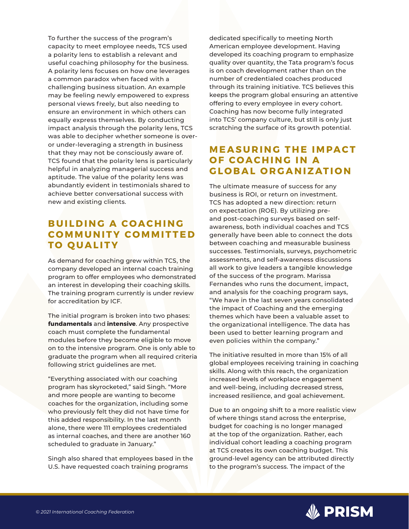To further the success of the program's capacity to meet employee needs, TCS used a polarity lens to establish a relevant and useful coaching philosophy for the business. A polarity lens focuses on how one leverages a common paradox when faced with a challenging business situation. An example may be feeling newly empowered to express personal views freely, but also needing to ensure an environment in which others can equally express themselves. By conducting impact analysis through the polarity lens, TCS was able to decipher whether someone is overor under-leveraging a strength in business that they may not be consciously aware of. TCS found that the polarity lens is particularly helpful in analyzing managerial success and aptitude. The value of the polarity lens was abundantly evident in testimonials shared to achieve better conversational success with new and existing clients.

## **BUILDING A COACHING C O M M U N I T Y C O M M I T T E D TO QUALITY**

As demand for coaching grew within TCS, the company developed an internal coach training program to offer employees who demonstrated an interest in developing their coaching skills. The training program currently is under review for accreditation by ICF.

The initial program is broken into two phases: **fundamentals** and **intensive**. Any prospective coach must complete the fundamental modules before they become eligible to move on to the intensive program. One is only able to graduate the program when all required criteria following strict guidelines are met.

"Everything associated with our coaching program has skyrocketed," said Singh. "More and more people are wanting to become coaches for the organization, including some who previously felt they did not have time for this added responsibility. In the last month alone, there were 111 employees credentialed as internal coaches, and there are another 160 scheduled to graduate in January."

Singh also shared that employees based in the U.S. have requested coach training programs

dedicated specifically to meeting North American employee development. Having developed its coaching program to emphasize quality over quantity, the Tata program's focus is on coach development rather than on the number of credentialed coaches produced through its training initiative. TCS believes this keeps the program global ensuring an attentive offering to every employee in every cohort. Coaching has now become fully integrated into TCS' company culture, but still is only just scratching the surface of its growth potential.

### **MEASURING THE IMPACT OF COACHING IN A GLOBAL ORGANIZATION**

The ultimate measure of success for any business is ROI, or return on investment. TCS has adopted a new direction: return on expectation (ROE). By utilizing preand post-coaching surveys based on selfawareness, both individual coaches and TCS generally have been able to connect the dots between coaching and measurable business successes. Testimonials, surveys, psychometric assessments, and self-awareness discussions all work to give leaders a tangible knowledge of the success of the program. Marissa Fernandes who runs the document, impact, and analysis for the coaching program says, "We have in the last seven years consolidated the impact of Coaching and the emerging themes which have been a valuable asset to the organizational intelligence. The data has been used to better learning program and even policies within the company."

The initiative resulted in more than 15% of all global employees receiving training in coaching skills. Along with this reach, the organization increased levels of workplace engagement and well-being, including decreased stress, increased resilience, and goal achievement.

Due to an ongoing shift to a more realistic view of where things stand across the enterprise, budget for coaching is no longer managed at the top of the organization. Rather, each individual cohort leading a coaching program at TCS creates its own coaching budget. This ground-level agency can be attributed directly to the program's success. The impact of the